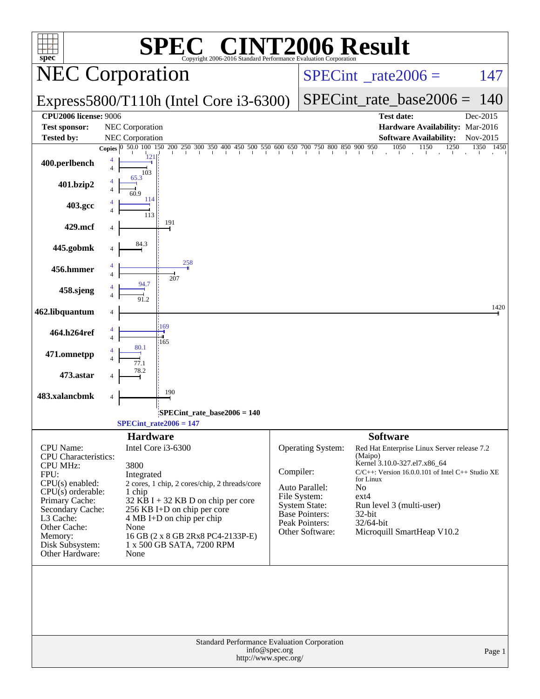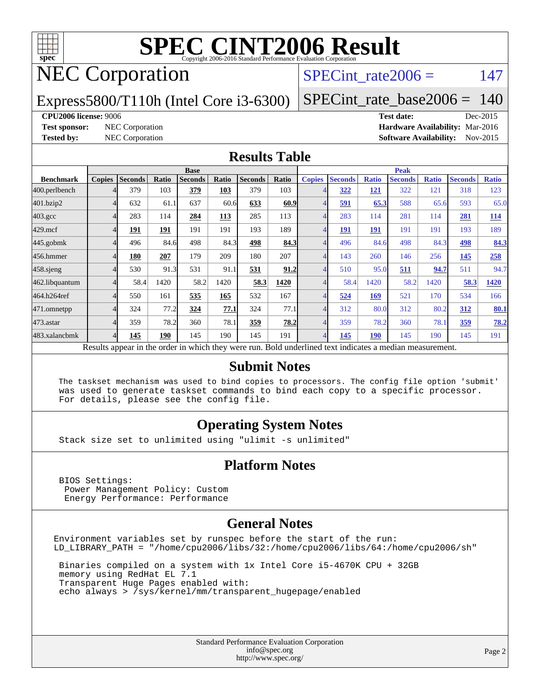

# NEC Corporation

#### SPECint rate $2006 = 147$

Express5800/T110h (Intel Core i3-6300)

[SPECint\\_rate\\_base2006 =](http://www.spec.org/auto/cpu2006/Docs/result-fields.html#SPECintratebase2006) 140

#### **[CPU2006 license:](http://www.spec.org/auto/cpu2006/Docs/result-fields.html#CPU2006license)** 9006 **[Test date:](http://www.spec.org/auto/cpu2006/Docs/result-fields.html#Testdate)** Dec-2015

**[Test sponsor:](http://www.spec.org/auto/cpu2006/Docs/result-fields.html#Testsponsor)** NEC Corporation **[Hardware Availability:](http://www.spec.org/auto/cpu2006/Docs/result-fields.html#HardwareAvailability)** Mar-2016 **[Tested by:](http://www.spec.org/auto/cpu2006/Docs/result-fields.html#Testedby)** NEC Corporation **[Software Availability:](http://www.spec.org/auto/cpu2006/Docs/result-fields.html#SoftwareAvailability)** Nov-2015

#### **[Results Table](http://www.spec.org/auto/cpu2006/Docs/result-fields.html#ResultsTable)**

|                    | <b>Base</b>   |                |       |                |       |                |       | <b>Peak</b>   |                |              |                                                                                                          |              |                |              |
|--------------------|---------------|----------------|-------|----------------|-------|----------------|-------|---------------|----------------|--------------|----------------------------------------------------------------------------------------------------------|--------------|----------------|--------------|
| <b>Benchmark</b>   | <b>Copies</b> | <b>Seconds</b> | Ratio | <b>Seconds</b> | Ratio | <b>Seconds</b> | Ratio | <b>Copies</b> | <b>Seconds</b> | <b>Ratio</b> | <b>Seconds</b>                                                                                           | <b>Ratio</b> | <b>Seconds</b> | <b>Ratio</b> |
| 400.perlbench      |               | 379            | 103   | 379            | 103   | 379            | 103   |               | 322            | <u>121</u>   | 322                                                                                                      | 121          | 318            | 123          |
| 401.bzip2          |               | 632            | 61.1  | 637            | 60.6  | 633            | 60.9  |               | 591            | 65.3         | 588                                                                                                      | 65.6         | 593            | 65.0         |
| $403.\mathrm{gcc}$ |               | 283            | 114   | 284            | 113   | 285            | 113   | 4             | 283            | 114          | 281                                                                                                      | 114          | 281            | 114          |
| $429$ .mcf         |               | 191            | 191   | 191            | 191   | 193            | 189   |               | <b>191</b>     | 191          | 191                                                                                                      | 191          | 193            | 189          |
| $445$ .gobmk       |               | 496            | 84.6  | 498            | 84.3  | 498            | 84.3  |               | 496            | 84.6         | 498                                                                                                      | 84.3         | <u>498</u>     | 84.3         |
| 456.hmmer          |               | 180            | 207   | 179            | 209   | 180            | 207   |               | 143            | 260          | 146                                                                                                      | 256          | 145            | 258          |
| $458$ .sjeng       |               | 530            | 91.3  | 531            | 91.1  | 531            | 91.2  |               | 510            | 95.0         | 511                                                                                                      | 94.7         | 511            | 94.7         |
| 462.libquantum     |               | 58.4           | 1420  | 58.2           | 1420  | 58.3           | 1420  |               | 58.4           | 1420         | 58.2                                                                                                     | 1420         | 58.3           | 1420         |
| 464.h264ref        |               | 550            | 161   | 535            | 165   | 532            | 167   |               | 524            | 169          | 521                                                                                                      | 170          | 534            | 166          |
| 471.omnetpp        |               | 324            | 77.2  | 324            | 77.1  | 324            | 77.1  |               | 312            | 80.0         | 312                                                                                                      | 80.2         | 312            | 80.1         |
| 473.astar          |               | 359            | 78.2  | 360            | 78.1  | 359            | 78.2  |               | 359            | 78.2         | 360                                                                                                      | 78.1         | 359            | 78.2         |
| 483.xalancbmk      |               | 145            | 190   | 145            | 190   | 145            | 191   |               | 145            | <b>190</b>   | 145                                                                                                      | 190          | 145            | 191          |
|                    |               |                |       |                |       |                |       |               |                |              | Results appear in the order in which they were run. Bold underlined text indicates a median measurement. |              |                |              |

#### **[Submit Notes](http://www.spec.org/auto/cpu2006/Docs/result-fields.html#SubmitNotes)**

 The taskset mechanism was used to bind copies to processors. The config file option 'submit' was used to generate taskset commands to bind each copy to a specific processor. For details, please see the config file.

#### **[Operating System Notes](http://www.spec.org/auto/cpu2006/Docs/result-fields.html#OperatingSystemNotes)**

Stack size set to unlimited using "ulimit -s unlimited"

#### **[Platform Notes](http://www.spec.org/auto/cpu2006/Docs/result-fields.html#PlatformNotes)**

 BIOS Settings: Power Management Policy: Custom Energy Performance: Performance

#### **[General Notes](http://www.spec.org/auto/cpu2006/Docs/result-fields.html#GeneralNotes)**

Environment variables set by runspec before the start of the run: LD\_LIBRARY\_PATH = "/home/cpu2006/libs/32:/home/cpu2006/libs/64:/home/cpu2006/sh"

 Binaries compiled on a system with 1x Intel Core i5-4670K CPU + 32GB memory using RedHat EL 7.1 Transparent Huge Pages enabled with: echo always > /sys/kernel/mm/transparent\_hugepage/enabled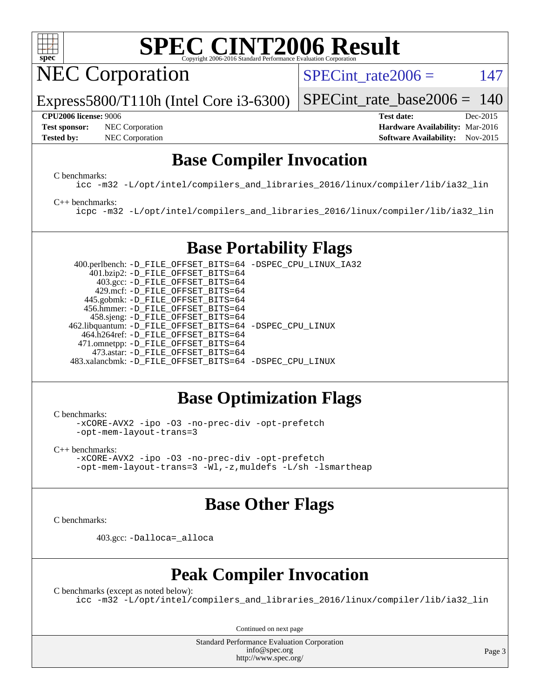

NEC Corporation

SPECint rate $2006 = 147$ 

Express5800/T110h (Intel Core i3-6300)

**[Test sponsor:](http://www.spec.org/auto/cpu2006/Docs/result-fields.html#Testsponsor)** NEC Corporation **NEC Corporation [Hardware Availability:](http://www.spec.org/auto/cpu2006/Docs/result-fields.html#HardwareAvailability)** Mar-2016

[SPECint\\_rate\\_base2006 =](http://www.spec.org/auto/cpu2006/Docs/result-fields.html#SPECintratebase2006) 140 **[CPU2006 license:](http://www.spec.org/auto/cpu2006/Docs/result-fields.html#CPU2006license)** 9006 **[Test date:](http://www.spec.org/auto/cpu2006/Docs/result-fields.html#Testdate)** Dec-2015

# **[Tested by:](http://www.spec.org/auto/cpu2006/Docs/result-fields.html#Testedby)** NEC Corporation **[Software Availability:](http://www.spec.org/auto/cpu2006/Docs/result-fields.html#SoftwareAvailability)** Nov-2015

## **[Base Compiler Invocation](http://www.spec.org/auto/cpu2006/Docs/result-fields.html#BaseCompilerInvocation)**

[C benchmarks](http://www.spec.org/auto/cpu2006/Docs/result-fields.html#Cbenchmarks):

[icc -m32 -L/opt/intel/compilers\\_and\\_libraries\\_2016/linux/compiler/lib/ia32\\_lin](http://www.spec.org/cpu2006/results/res2016q1/cpu2006-20160125-38832.flags.html#user_CCbase_intel_icc_e10256ba5924b668798078a321b0cb3f)

#### [C++ benchmarks:](http://www.spec.org/auto/cpu2006/Docs/result-fields.html#CXXbenchmarks)

[icpc -m32 -L/opt/intel/compilers\\_and\\_libraries\\_2016/linux/compiler/lib/ia32\\_lin](http://www.spec.org/cpu2006/results/res2016q1/cpu2006-20160125-38832.flags.html#user_CXXbase_intel_icpc_b4f50a394bdb4597aa5879c16bc3f5c5)

## **[Base Portability Flags](http://www.spec.org/auto/cpu2006/Docs/result-fields.html#BasePortabilityFlags)**

 400.perlbench: [-D\\_FILE\\_OFFSET\\_BITS=64](http://www.spec.org/cpu2006/results/res2016q1/cpu2006-20160125-38832.flags.html#user_basePORTABILITY400_perlbench_file_offset_bits_64_438cf9856305ebd76870a2c6dc2689ab) [-DSPEC\\_CPU\\_LINUX\\_IA32](http://www.spec.org/cpu2006/results/res2016q1/cpu2006-20160125-38832.flags.html#b400.perlbench_baseCPORTABILITY_DSPEC_CPU_LINUX_IA32) 401.bzip2: [-D\\_FILE\\_OFFSET\\_BITS=64](http://www.spec.org/cpu2006/results/res2016q1/cpu2006-20160125-38832.flags.html#user_basePORTABILITY401_bzip2_file_offset_bits_64_438cf9856305ebd76870a2c6dc2689ab) 403.gcc: [-D\\_FILE\\_OFFSET\\_BITS=64](http://www.spec.org/cpu2006/results/res2016q1/cpu2006-20160125-38832.flags.html#user_basePORTABILITY403_gcc_file_offset_bits_64_438cf9856305ebd76870a2c6dc2689ab) 429.mcf: [-D\\_FILE\\_OFFSET\\_BITS=64](http://www.spec.org/cpu2006/results/res2016q1/cpu2006-20160125-38832.flags.html#user_basePORTABILITY429_mcf_file_offset_bits_64_438cf9856305ebd76870a2c6dc2689ab) 445.gobmk: [-D\\_FILE\\_OFFSET\\_BITS=64](http://www.spec.org/cpu2006/results/res2016q1/cpu2006-20160125-38832.flags.html#user_basePORTABILITY445_gobmk_file_offset_bits_64_438cf9856305ebd76870a2c6dc2689ab) 456.hmmer: [-D\\_FILE\\_OFFSET\\_BITS=64](http://www.spec.org/cpu2006/results/res2016q1/cpu2006-20160125-38832.flags.html#user_basePORTABILITY456_hmmer_file_offset_bits_64_438cf9856305ebd76870a2c6dc2689ab) 458.sjeng: [-D\\_FILE\\_OFFSET\\_BITS=64](http://www.spec.org/cpu2006/results/res2016q1/cpu2006-20160125-38832.flags.html#user_basePORTABILITY458_sjeng_file_offset_bits_64_438cf9856305ebd76870a2c6dc2689ab) 462.libquantum: [-D\\_FILE\\_OFFSET\\_BITS=64](http://www.spec.org/cpu2006/results/res2016q1/cpu2006-20160125-38832.flags.html#user_basePORTABILITY462_libquantum_file_offset_bits_64_438cf9856305ebd76870a2c6dc2689ab) [-DSPEC\\_CPU\\_LINUX](http://www.spec.org/cpu2006/results/res2016q1/cpu2006-20160125-38832.flags.html#b462.libquantum_baseCPORTABILITY_DSPEC_CPU_LINUX) 464.h264ref: [-D\\_FILE\\_OFFSET\\_BITS=64](http://www.spec.org/cpu2006/results/res2016q1/cpu2006-20160125-38832.flags.html#user_basePORTABILITY464_h264ref_file_offset_bits_64_438cf9856305ebd76870a2c6dc2689ab) 471.omnetpp: [-D\\_FILE\\_OFFSET\\_BITS=64](http://www.spec.org/cpu2006/results/res2016q1/cpu2006-20160125-38832.flags.html#user_basePORTABILITY471_omnetpp_file_offset_bits_64_438cf9856305ebd76870a2c6dc2689ab) 473.astar: [-D\\_FILE\\_OFFSET\\_BITS=64](http://www.spec.org/cpu2006/results/res2016q1/cpu2006-20160125-38832.flags.html#user_basePORTABILITY473_astar_file_offset_bits_64_438cf9856305ebd76870a2c6dc2689ab) 483.xalancbmk: [-D\\_FILE\\_OFFSET\\_BITS=64](http://www.spec.org/cpu2006/results/res2016q1/cpu2006-20160125-38832.flags.html#user_basePORTABILITY483_xalancbmk_file_offset_bits_64_438cf9856305ebd76870a2c6dc2689ab) [-DSPEC\\_CPU\\_LINUX](http://www.spec.org/cpu2006/results/res2016q1/cpu2006-20160125-38832.flags.html#b483.xalancbmk_baseCXXPORTABILITY_DSPEC_CPU_LINUX)

## **[Base Optimization Flags](http://www.spec.org/auto/cpu2006/Docs/result-fields.html#BaseOptimizationFlags)**

[C benchmarks](http://www.spec.org/auto/cpu2006/Docs/result-fields.html#Cbenchmarks):

[-xCORE-AVX2](http://www.spec.org/cpu2006/results/res2016q1/cpu2006-20160125-38832.flags.html#user_CCbase_f-xAVX2_5f5fc0cbe2c9f62c816d3e45806c70d7) [-ipo](http://www.spec.org/cpu2006/results/res2016q1/cpu2006-20160125-38832.flags.html#user_CCbase_f-ipo) [-O3](http://www.spec.org/cpu2006/results/res2016q1/cpu2006-20160125-38832.flags.html#user_CCbase_f-O3) [-no-prec-div](http://www.spec.org/cpu2006/results/res2016q1/cpu2006-20160125-38832.flags.html#user_CCbase_f-no-prec-div) [-opt-prefetch](http://www.spec.org/cpu2006/results/res2016q1/cpu2006-20160125-38832.flags.html#user_CCbase_f-opt-prefetch) [-opt-mem-layout-trans=3](http://www.spec.org/cpu2006/results/res2016q1/cpu2006-20160125-38832.flags.html#user_CCbase_f-opt-mem-layout-trans_a7b82ad4bd7abf52556d4961a2ae94d5)

[C++ benchmarks:](http://www.spec.org/auto/cpu2006/Docs/result-fields.html#CXXbenchmarks) [-xCORE-AVX2](http://www.spec.org/cpu2006/results/res2016q1/cpu2006-20160125-38832.flags.html#user_CXXbase_f-xAVX2_5f5fc0cbe2c9f62c816d3e45806c70d7) [-ipo](http://www.spec.org/cpu2006/results/res2016q1/cpu2006-20160125-38832.flags.html#user_CXXbase_f-ipo) [-O3](http://www.spec.org/cpu2006/results/res2016q1/cpu2006-20160125-38832.flags.html#user_CXXbase_f-O3) [-no-prec-div](http://www.spec.org/cpu2006/results/res2016q1/cpu2006-20160125-38832.flags.html#user_CXXbase_f-no-prec-div) [-opt-prefetch](http://www.spec.org/cpu2006/results/res2016q1/cpu2006-20160125-38832.flags.html#user_CXXbase_f-opt-prefetch) [-opt-mem-layout-trans=3](http://www.spec.org/cpu2006/results/res2016q1/cpu2006-20160125-38832.flags.html#user_CXXbase_f-opt-mem-layout-trans_a7b82ad4bd7abf52556d4961a2ae94d5) [-Wl,-z,muldefs](http://www.spec.org/cpu2006/results/res2016q1/cpu2006-20160125-38832.flags.html#user_CXXbase_link_force_multiple1_74079c344b956b9658436fd1b6dd3a8a) [-L/sh -lsmartheap](http://www.spec.org/cpu2006/results/res2016q1/cpu2006-20160125-38832.flags.html#user_CXXbase_SmartHeap_32f6c82aa1ed9c52345d30cf6e4a0499)

### **[Base Other Flags](http://www.spec.org/auto/cpu2006/Docs/result-fields.html#BaseOtherFlags)**

[C benchmarks](http://www.spec.org/auto/cpu2006/Docs/result-fields.html#Cbenchmarks):

403.gcc: [-Dalloca=\\_alloca](http://www.spec.org/cpu2006/results/res2016q1/cpu2006-20160125-38832.flags.html#b403.gcc_baseEXTRA_CFLAGS_Dalloca_be3056838c12de2578596ca5467af7f3)

## **[Peak Compiler Invocation](http://www.spec.org/auto/cpu2006/Docs/result-fields.html#PeakCompilerInvocation)**

[C benchmarks \(except as noted below\)](http://www.spec.org/auto/cpu2006/Docs/result-fields.html#Cbenchmarksexceptasnotedbelow): [icc -m32 -L/opt/intel/compilers\\_and\\_libraries\\_2016/linux/compiler/lib/ia32\\_lin](http://www.spec.org/cpu2006/results/res2016q1/cpu2006-20160125-38832.flags.html#user_CCpeak_intel_icc_e10256ba5924b668798078a321b0cb3f)

Continued on next page

Standard Performance Evaluation Corporation [info@spec.org](mailto:info@spec.org) <http://www.spec.org/>

Page 3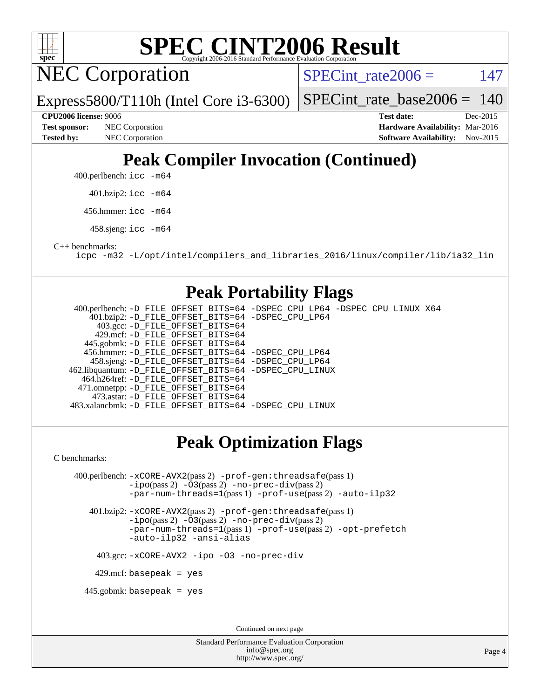

**NEC Corporation** 

Express5800/T110h (Intel Core i3-6300)

SPECint rate $2006 = 147$ 

[SPECint\\_rate\\_base2006 =](http://www.spec.org/auto/cpu2006/Docs/result-fields.html#SPECintratebase2006) 140

**[Test sponsor:](http://www.spec.org/auto/cpu2006/Docs/result-fields.html#Testsponsor)** NEC Corporation **NEC Corporation [Hardware Availability:](http://www.spec.org/auto/cpu2006/Docs/result-fields.html#HardwareAvailability)** Mar-2016

**[CPU2006 license:](http://www.spec.org/auto/cpu2006/Docs/result-fields.html#CPU2006license)** 9006 **[Test date:](http://www.spec.org/auto/cpu2006/Docs/result-fields.html#Testdate)** Dec-2015 **[Tested by:](http://www.spec.org/auto/cpu2006/Docs/result-fields.html#Testedby)** NEC Corporation **[Software Availability:](http://www.spec.org/auto/cpu2006/Docs/result-fields.html#SoftwareAvailability)** Nov-2015

## **[Peak Compiler Invocation \(Continued\)](http://www.spec.org/auto/cpu2006/Docs/result-fields.html#PeakCompilerInvocation)**

400.perlbench: [icc -m64](http://www.spec.org/cpu2006/results/res2016q1/cpu2006-20160125-38832.flags.html#user_peakCCLD400_perlbench_intel_icc_64bit_bda6cc9af1fdbb0edc3795bac97ada53)

401.bzip2: [icc -m64](http://www.spec.org/cpu2006/results/res2016q1/cpu2006-20160125-38832.flags.html#user_peakCCLD401_bzip2_intel_icc_64bit_bda6cc9af1fdbb0edc3795bac97ada53)

456.hmmer: [icc -m64](http://www.spec.org/cpu2006/results/res2016q1/cpu2006-20160125-38832.flags.html#user_peakCCLD456_hmmer_intel_icc_64bit_bda6cc9af1fdbb0edc3795bac97ada53)

458.sjeng: [icc -m64](http://www.spec.org/cpu2006/results/res2016q1/cpu2006-20160125-38832.flags.html#user_peakCCLD458_sjeng_intel_icc_64bit_bda6cc9af1fdbb0edc3795bac97ada53)

[C++ benchmarks:](http://www.spec.org/auto/cpu2006/Docs/result-fields.html#CXXbenchmarks)

[icpc -m32 -L/opt/intel/compilers\\_and\\_libraries\\_2016/linux/compiler/lib/ia32\\_lin](http://www.spec.org/cpu2006/results/res2016q1/cpu2006-20160125-38832.flags.html#user_CXXpeak_intel_icpc_b4f50a394bdb4597aa5879c16bc3f5c5)

### **[Peak Portability Flags](http://www.spec.org/auto/cpu2006/Docs/result-fields.html#PeakPortabilityFlags)**

 400.perlbench: [-D\\_FILE\\_OFFSET\\_BITS=64](http://www.spec.org/cpu2006/results/res2016q1/cpu2006-20160125-38832.flags.html#user_peakPORTABILITY400_perlbench_file_offset_bits_64_438cf9856305ebd76870a2c6dc2689ab) [-DSPEC\\_CPU\\_LP64](http://www.spec.org/cpu2006/results/res2016q1/cpu2006-20160125-38832.flags.html#b400.perlbench_peakCPORTABILITY_DSPEC_CPU_LP64) [-DSPEC\\_CPU\\_LINUX\\_X64](http://www.spec.org/cpu2006/results/res2016q1/cpu2006-20160125-38832.flags.html#b400.perlbench_peakCPORTABILITY_DSPEC_CPU_LINUX_X64) 401.bzip2: [-D\\_FILE\\_OFFSET\\_BITS=64](http://www.spec.org/cpu2006/results/res2016q1/cpu2006-20160125-38832.flags.html#user_peakPORTABILITY401_bzip2_file_offset_bits_64_438cf9856305ebd76870a2c6dc2689ab) [-DSPEC\\_CPU\\_LP64](http://www.spec.org/cpu2006/results/res2016q1/cpu2006-20160125-38832.flags.html#suite_peakCPORTABILITY401_bzip2_DSPEC_CPU_LP64) 403.gcc: [-D\\_FILE\\_OFFSET\\_BITS=64](http://www.spec.org/cpu2006/results/res2016q1/cpu2006-20160125-38832.flags.html#user_peakPORTABILITY403_gcc_file_offset_bits_64_438cf9856305ebd76870a2c6dc2689ab) 429.mcf: [-D\\_FILE\\_OFFSET\\_BITS=64](http://www.spec.org/cpu2006/results/res2016q1/cpu2006-20160125-38832.flags.html#user_peakPORTABILITY429_mcf_file_offset_bits_64_438cf9856305ebd76870a2c6dc2689ab) 445.gobmk: [-D\\_FILE\\_OFFSET\\_BITS=64](http://www.spec.org/cpu2006/results/res2016q1/cpu2006-20160125-38832.flags.html#user_peakPORTABILITY445_gobmk_file_offset_bits_64_438cf9856305ebd76870a2c6dc2689ab) 456.hmmer: [-D\\_FILE\\_OFFSET\\_BITS=64](http://www.spec.org/cpu2006/results/res2016q1/cpu2006-20160125-38832.flags.html#user_peakPORTABILITY456_hmmer_file_offset_bits_64_438cf9856305ebd76870a2c6dc2689ab) [-DSPEC\\_CPU\\_LP64](http://www.spec.org/cpu2006/results/res2016q1/cpu2006-20160125-38832.flags.html#suite_peakCPORTABILITY456_hmmer_DSPEC_CPU_LP64) 458.sjeng: [-D\\_FILE\\_OFFSET\\_BITS=64](http://www.spec.org/cpu2006/results/res2016q1/cpu2006-20160125-38832.flags.html#user_peakPORTABILITY458_sjeng_file_offset_bits_64_438cf9856305ebd76870a2c6dc2689ab) [-DSPEC\\_CPU\\_LP64](http://www.spec.org/cpu2006/results/res2016q1/cpu2006-20160125-38832.flags.html#suite_peakCPORTABILITY458_sjeng_DSPEC_CPU_LP64) 462.libquantum: [-D\\_FILE\\_OFFSET\\_BITS=64](http://www.spec.org/cpu2006/results/res2016q1/cpu2006-20160125-38832.flags.html#user_peakPORTABILITY462_libquantum_file_offset_bits_64_438cf9856305ebd76870a2c6dc2689ab) [-DSPEC\\_CPU\\_LINUX](http://www.spec.org/cpu2006/results/res2016q1/cpu2006-20160125-38832.flags.html#b462.libquantum_peakCPORTABILITY_DSPEC_CPU_LINUX) 464.h264ref: [-D\\_FILE\\_OFFSET\\_BITS=64](http://www.spec.org/cpu2006/results/res2016q1/cpu2006-20160125-38832.flags.html#user_peakPORTABILITY464_h264ref_file_offset_bits_64_438cf9856305ebd76870a2c6dc2689ab) 471.omnetpp: [-D\\_FILE\\_OFFSET\\_BITS=64](http://www.spec.org/cpu2006/results/res2016q1/cpu2006-20160125-38832.flags.html#user_peakPORTABILITY471_omnetpp_file_offset_bits_64_438cf9856305ebd76870a2c6dc2689ab) 473.astar: [-D\\_FILE\\_OFFSET\\_BITS=64](http://www.spec.org/cpu2006/results/res2016q1/cpu2006-20160125-38832.flags.html#user_peakPORTABILITY473_astar_file_offset_bits_64_438cf9856305ebd76870a2c6dc2689ab) 483.xalancbmk: [-D\\_FILE\\_OFFSET\\_BITS=64](http://www.spec.org/cpu2006/results/res2016q1/cpu2006-20160125-38832.flags.html#user_peakPORTABILITY483_xalancbmk_file_offset_bits_64_438cf9856305ebd76870a2c6dc2689ab) [-DSPEC\\_CPU\\_LINUX](http://www.spec.org/cpu2006/results/res2016q1/cpu2006-20160125-38832.flags.html#b483.xalancbmk_peakCXXPORTABILITY_DSPEC_CPU_LINUX)

## **[Peak Optimization Flags](http://www.spec.org/auto/cpu2006/Docs/result-fields.html#PeakOptimizationFlags)**

[C benchmarks](http://www.spec.org/auto/cpu2006/Docs/result-fields.html#Cbenchmarks):

 400.perlbench: [-xCORE-AVX2](http://www.spec.org/cpu2006/results/res2016q1/cpu2006-20160125-38832.flags.html#user_peakPASS2_CFLAGSPASS2_LDCFLAGS400_perlbench_f-xAVX2_5f5fc0cbe2c9f62c816d3e45806c70d7)(pass 2) [-prof-gen:threadsafe](http://www.spec.org/cpu2006/results/res2016q1/cpu2006-20160125-38832.flags.html#user_peakPASS1_CFLAGSPASS1_LDCFLAGS400_perlbench_prof_gen_21a26eb79f378b550acd7bec9fe4467a)(pass 1) [-ipo](http://www.spec.org/cpu2006/results/res2016q1/cpu2006-20160125-38832.flags.html#user_peakPASS2_CFLAGSPASS2_LDCFLAGS400_perlbench_f-ipo)(pass 2) [-O3](http://www.spec.org/cpu2006/results/res2016q1/cpu2006-20160125-38832.flags.html#user_peakPASS2_CFLAGSPASS2_LDCFLAGS400_perlbench_f-O3)(pass 2) [-no-prec-div](http://www.spec.org/cpu2006/results/res2016q1/cpu2006-20160125-38832.flags.html#user_peakPASS2_CFLAGSPASS2_LDCFLAGS400_perlbench_f-no-prec-div)(pass 2) [-par-num-threads=1](http://www.spec.org/cpu2006/results/res2016q1/cpu2006-20160125-38832.flags.html#user_peakPASS1_CFLAGSPASS1_LDCFLAGS400_perlbench_par_num_threads_786a6ff141b4e9e90432e998842df6c2)(pass 1) [-prof-use](http://www.spec.org/cpu2006/results/res2016q1/cpu2006-20160125-38832.flags.html#user_peakPASS2_CFLAGSPASS2_LDCFLAGS400_perlbench_prof_use_bccf7792157ff70d64e32fe3e1250b55)(pass 2) [-auto-ilp32](http://www.spec.org/cpu2006/results/res2016q1/cpu2006-20160125-38832.flags.html#user_peakCOPTIMIZE400_perlbench_f-auto-ilp32)

 401.bzip2: [-xCORE-AVX2](http://www.spec.org/cpu2006/results/res2016q1/cpu2006-20160125-38832.flags.html#user_peakPASS2_CFLAGSPASS2_LDCFLAGS401_bzip2_f-xAVX2_5f5fc0cbe2c9f62c816d3e45806c70d7)(pass 2) [-prof-gen:threadsafe](http://www.spec.org/cpu2006/results/res2016q1/cpu2006-20160125-38832.flags.html#user_peakPASS1_CFLAGSPASS1_LDCFLAGS401_bzip2_prof_gen_21a26eb79f378b550acd7bec9fe4467a)(pass 1) [-ipo](http://www.spec.org/cpu2006/results/res2016q1/cpu2006-20160125-38832.flags.html#user_peakPASS2_CFLAGSPASS2_LDCFLAGS401_bzip2_f-ipo)(pass 2) [-O3](http://www.spec.org/cpu2006/results/res2016q1/cpu2006-20160125-38832.flags.html#user_peakPASS2_CFLAGSPASS2_LDCFLAGS401_bzip2_f-O3)(pass 2) [-no-prec-div](http://www.spec.org/cpu2006/results/res2016q1/cpu2006-20160125-38832.flags.html#user_peakPASS2_CFLAGSPASS2_LDCFLAGS401_bzip2_f-no-prec-div)(pass 2) [-par-num-threads=1](http://www.spec.org/cpu2006/results/res2016q1/cpu2006-20160125-38832.flags.html#user_peakPASS1_CFLAGSPASS1_LDCFLAGS401_bzip2_par_num_threads_786a6ff141b4e9e90432e998842df6c2)(pass 1) [-prof-use](http://www.spec.org/cpu2006/results/res2016q1/cpu2006-20160125-38832.flags.html#user_peakPASS2_CFLAGSPASS2_LDCFLAGS401_bzip2_prof_use_bccf7792157ff70d64e32fe3e1250b55)(pass 2) [-opt-prefetch](http://www.spec.org/cpu2006/results/res2016q1/cpu2006-20160125-38832.flags.html#user_peakCOPTIMIZE401_bzip2_f-opt-prefetch) [-auto-ilp32](http://www.spec.org/cpu2006/results/res2016q1/cpu2006-20160125-38832.flags.html#user_peakCOPTIMIZE401_bzip2_f-auto-ilp32) [-ansi-alias](http://www.spec.org/cpu2006/results/res2016q1/cpu2006-20160125-38832.flags.html#user_peakCOPTIMIZE401_bzip2_f-ansi-alias)

403.gcc: [-xCORE-AVX2](http://www.spec.org/cpu2006/results/res2016q1/cpu2006-20160125-38832.flags.html#user_peakCOPTIMIZE403_gcc_f-xAVX2_5f5fc0cbe2c9f62c816d3e45806c70d7) [-ipo](http://www.spec.org/cpu2006/results/res2016q1/cpu2006-20160125-38832.flags.html#user_peakCOPTIMIZE403_gcc_f-ipo) [-O3](http://www.spec.org/cpu2006/results/res2016q1/cpu2006-20160125-38832.flags.html#user_peakCOPTIMIZE403_gcc_f-O3) [-no-prec-div](http://www.spec.org/cpu2006/results/res2016q1/cpu2006-20160125-38832.flags.html#user_peakCOPTIMIZE403_gcc_f-no-prec-div)

 $429$ .mcf: basepeak = yes

445.gobmk: basepeak = yes

Continued on next page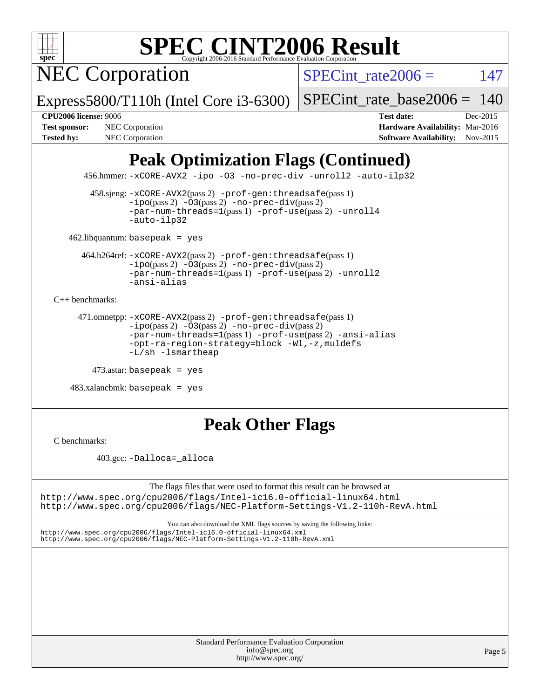

NEC Corporation

SPECint rate $2006 = 147$ 

Express5800/T110h (Intel Core i3-6300)

[SPECint\\_rate\\_base2006 =](http://www.spec.org/auto/cpu2006/Docs/result-fields.html#SPECintratebase2006) 140

**[CPU2006 license:](http://www.spec.org/auto/cpu2006/Docs/result-fields.html#CPU2006license)** 9006 **[Test date:](http://www.spec.org/auto/cpu2006/Docs/result-fields.html#Testdate)** Dec-2015 **[Test sponsor:](http://www.spec.org/auto/cpu2006/Docs/result-fields.html#Testsponsor)** NEC Corporation **NEC Corporation [Hardware Availability:](http://www.spec.org/auto/cpu2006/Docs/result-fields.html#HardwareAvailability)** Mar-2016 [Tested by:](http://www.spec.org/auto/cpu2006/Docs/result-fields.html#Testedby) NEC Corporation **[Software Availability:](http://www.spec.org/auto/cpu2006/Docs/result-fields.html#SoftwareAvailability)** Nov-2015

## **[Peak Optimization Flags \(Continued\)](http://www.spec.org/auto/cpu2006/Docs/result-fields.html#PeakOptimizationFlags)**

456.hmmer: [-xCORE-AVX2](http://www.spec.org/cpu2006/results/res2016q1/cpu2006-20160125-38832.flags.html#user_peakCOPTIMIZE456_hmmer_f-xAVX2_5f5fc0cbe2c9f62c816d3e45806c70d7) [-ipo](http://www.spec.org/cpu2006/results/res2016q1/cpu2006-20160125-38832.flags.html#user_peakCOPTIMIZE456_hmmer_f-ipo) [-O3](http://www.spec.org/cpu2006/results/res2016q1/cpu2006-20160125-38832.flags.html#user_peakCOPTIMIZE456_hmmer_f-O3) [-no-prec-div](http://www.spec.org/cpu2006/results/res2016q1/cpu2006-20160125-38832.flags.html#user_peakCOPTIMIZE456_hmmer_f-no-prec-div) [-unroll2](http://www.spec.org/cpu2006/results/res2016q1/cpu2006-20160125-38832.flags.html#user_peakCOPTIMIZE456_hmmer_f-unroll_784dae83bebfb236979b41d2422d7ec2) [-auto-ilp32](http://www.spec.org/cpu2006/results/res2016q1/cpu2006-20160125-38832.flags.html#user_peakCOPTIMIZE456_hmmer_f-auto-ilp32)

 458.sjeng: [-xCORE-AVX2](http://www.spec.org/cpu2006/results/res2016q1/cpu2006-20160125-38832.flags.html#user_peakPASS2_CFLAGSPASS2_LDCFLAGS458_sjeng_f-xAVX2_5f5fc0cbe2c9f62c816d3e45806c70d7)(pass 2) [-prof-gen:threadsafe](http://www.spec.org/cpu2006/results/res2016q1/cpu2006-20160125-38832.flags.html#user_peakPASS1_CFLAGSPASS1_LDCFLAGS458_sjeng_prof_gen_21a26eb79f378b550acd7bec9fe4467a)(pass 1)  $-i\text{po}(pass 2) -03(pass 2) -no-prec-div(pass 2)$  $-i\text{po}(pass 2) -03(pass 2) -no-prec-div(pass 2)$  $-i\text{po}(pass 2) -03(pass 2) -no-prec-div(pass 2)$ [-par-num-threads=1](http://www.spec.org/cpu2006/results/res2016q1/cpu2006-20160125-38832.flags.html#user_peakPASS1_CFLAGSPASS1_LDCFLAGS458_sjeng_par_num_threads_786a6ff141b4e9e90432e998842df6c2)(pass 1) [-prof-use](http://www.spec.org/cpu2006/results/res2016q1/cpu2006-20160125-38832.flags.html#user_peakPASS2_CFLAGSPASS2_LDCFLAGS458_sjeng_prof_use_bccf7792157ff70d64e32fe3e1250b55)(pass 2) [-unroll4](http://www.spec.org/cpu2006/results/res2016q1/cpu2006-20160125-38832.flags.html#user_peakCOPTIMIZE458_sjeng_f-unroll_4e5e4ed65b7fd20bdcd365bec371b81f) [-auto-ilp32](http://www.spec.org/cpu2006/results/res2016q1/cpu2006-20160125-38832.flags.html#user_peakCOPTIMIZE458_sjeng_f-auto-ilp32)

462.libquantum: basepeak = yes

 464.h264ref: [-xCORE-AVX2](http://www.spec.org/cpu2006/results/res2016q1/cpu2006-20160125-38832.flags.html#user_peakPASS2_CFLAGSPASS2_LDCFLAGS464_h264ref_f-xAVX2_5f5fc0cbe2c9f62c816d3e45806c70d7)(pass 2) [-prof-gen:threadsafe](http://www.spec.org/cpu2006/results/res2016q1/cpu2006-20160125-38832.flags.html#user_peakPASS1_CFLAGSPASS1_LDCFLAGS464_h264ref_prof_gen_21a26eb79f378b550acd7bec9fe4467a)(pass 1)  $-i\text{po}(pass 2) -\overline{O}3(pass 2)$  [-no-prec-div](http://www.spec.org/cpu2006/results/res2016q1/cpu2006-20160125-38832.flags.html#user_peakPASS2_CFLAGSPASS2_LDCFLAGS464_h264ref_f-no-prec-div)(pass 2) [-par-num-threads=1](http://www.spec.org/cpu2006/results/res2016q1/cpu2006-20160125-38832.flags.html#user_peakPASS1_CFLAGSPASS1_LDCFLAGS464_h264ref_par_num_threads_786a6ff141b4e9e90432e998842df6c2)(pass 1) [-prof-use](http://www.spec.org/cpu2006/results/res2016q1/cpu2006-20160125-38832.flags.html#user_peakPASS2_CFLAGSPASS2_LDCFLAGS464_h264ref_prof_use_bccf7792157ff70d64e32fe3e1250b55)(pass 2) [-unroll2](http://www.spec.org/cpu2006/results/res2016q1/cpu2006-20160125-38832.flags.html#user_peakCOPTIMIZE464_h264ref_f-unroll_784dae83bebfb236979b41d2422d7ec2) [-ansi-alias](http://www.spec.org/cpu2006/results/res2016q1/cpu2006-20160125-38832.flags.html#user_peakCOPTIMIZE464_h264ref_f-ansi-alias)

[C++ benchmarks:](http://www.spec.org/auto/cpu2006/Docs/result-fields.html#CXXbenchmarks)

```
 471.omnetpp: -xCORE-AVX2(pass 2) -prof-gen:threadsafe(pass 1)
-ipo(pass 2) -O3(pass 2) -no-prec-div(pass 2)
-par-num-threads=1(pass 1) -prof-use(pass 2) -ansi-alias
-opt-ra-region-strategy=block -Wl,-z,muldefs
-L/sh -lsmartheap
```

```
 473.astar: basepeak = yes
```
 $483.xalanchmk: basepeak = yes$ 

## **[Peak Other Flags](http://www.spec.org/auto/cpu2006/Docs/result-fields.html#PeakOtherFlags)**

[C benchmarks](http://www.spec.org/auto/cpu2006/Docs/result-fields.html#Cbenchmarks):

403.gcc: [-Dalloca=\\_alloca](http://www.spec.org/cpu2006/results/res2016q1/cpu2006-20160125-38832.flags.html#b403.gcc_peakEXTRA_CFLAGS_Dalloca_be3056838c12de2578596ca5467af7f3)

The flags files that were used to format this result can be browsed at <http://www.spec.org/cpu2006/flags/Intel-ic16.0-official-linux64.html> <http://www.spec.org/cpu2006/flags/NEC-Platform-Settings-V1.2-110h-RevA.html>

You can also download the XML flags sources by saving the following links:

<http://www.spec.org/cpu2006/flags/Intel-ic16.0-official-linux64.xml> <http://www.spec.org/cpu2006/flags/NEC-Platform-Settings-V1.2-110h-RevA.xml>